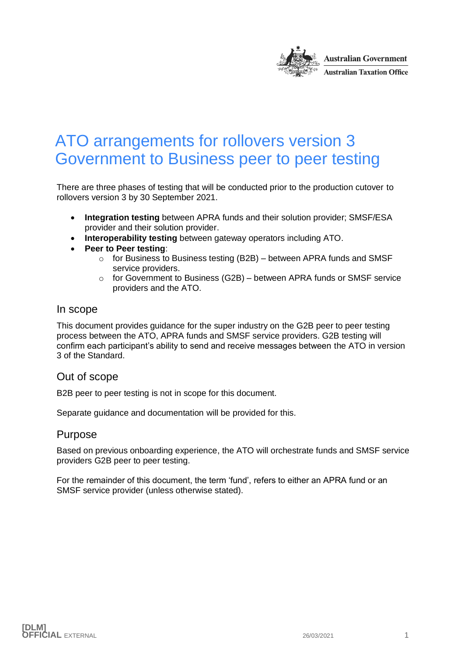

# <span id="page-0-0"></span>ATO arrangements for rollovers version 3 Government to Business peer to peer testing

There are three phases of testing that will be conducted prior to the production cutover to rollovers version 3 by 30 September 2021.

- **Integration testing** between APRA funds and their solution provider; SMSF/ESA provider and their solution provider.
- **Interoperability testing** between gateway operators including ATO.
- **Peer to Peer testing**:
	- $\circ$  for Business to Business testing (B2B) between APRA funds and SMSF service providers.
	- $\circ$  for Government to Business (G2B) between APRA funds or SMSF service providers and the ATO.

#### In scope

This document provides guidance for the super industry on the G2B peer to peer testing process between the ATO, APRA funds and SMSF service providers. G2B testing will confirm each participant's ability to send and receive messages between the ATO in version 3 of the Standard.

#### Out of scope

B2B peer to peer testing is not in scope for this document.

Separate guidance and documentation will be provided for this.

#### Purpose

Based on previous onboarding experience, the ATO will orchestrate funds and SMSF service providers G2B peer to peer testing.

For the remainder of this document, the term 'fund', refers to either an APRA fund or an SMSF service provider (unless otherwise stated).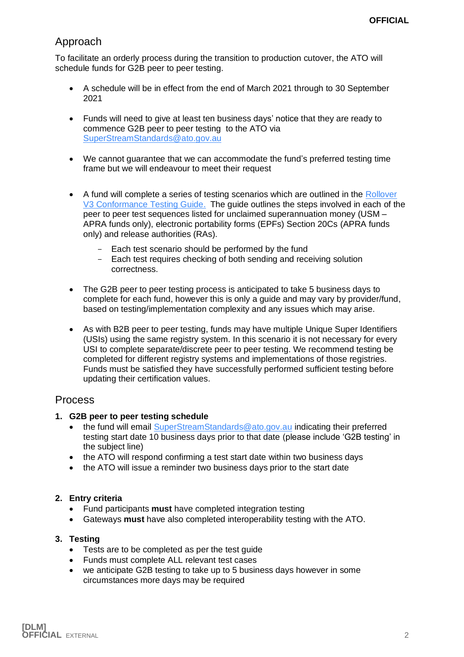## Approach

To facilitate an orderly process during the transition to production cutover, the ATO will schedule funds for G2B peer to peer testing.

- A schedule will be in effect from the end of March 2021 through to 30 September 2021
- Funds will need to give at least ten business days' notice that they are ready to commence G2B peer to peer testing to the ATO via [SuperStreamStandards@ato.gov.au](mailto:SuperStreamStandards@ato.gov.au)
- We cannot guarantee that we can accommodate the fund's preferred testing time frame but we will endeavour to meet their request
- A fund will complete a series of testing scenarios which are outlined in the Rollover [V3 Conformance Testing Guide.](https://softwaredevelopers.ato.gov.au/rolloverV3) The guide outlines the steps involved in each of the peer to peer test sequences listed for unclaimed superannuation money (USM – APRA funds only), electronic portability forms (EPFs) Section 20Cs (APRA funds only) and release authorities (RAs).
	- Each test scenario should be performed by the fund
	- Each test requires checking of both sending and receiving solution correctness.
- The G2B peer to peer testing process is anticipated to take 5 business days to complete for each fund, however this is only a guide and may vary by provider/fund, based on testing/implementation complexity and any issues which may arise.
- As with B2B peer to peer testing, funds may have multiple Unique Super Identifiers (USIs) using the same registry system. In this scenario it is not necessary for every USI to complete separate/discrete peer to peer testing. We recommend testing be completed for different registry systems and implementations of those registries. Funds must be satisfied they have successfully performed sufficient testing before updating their certification values.

### Process

- **1. G2B peer to peer testing schedule**
	- the fund will email [SuperStreamStandards@ato.gov.au](mailto:SuperStreamStandards@ato.gov.au) indicating their preferred testing start date 10 business days prior to that date (please include 'G2B testing' in the subject line)
	- the ATO will respond confirming a test start date within two business days
	- the ATO will issue a reminder two business days prior to the start date

#### **2. Entry criteria**

- Fund participants **must** have completed integration testing
- Gateways **must** have also completed interoperability testing with the ATO.

#### **3. Testing**

- Tests are to be completed as per the test quide
- Funds must complete ALL relevant test cases
- we anticipate G2B testing to take up to 5 business days however in some circumstances more days may be required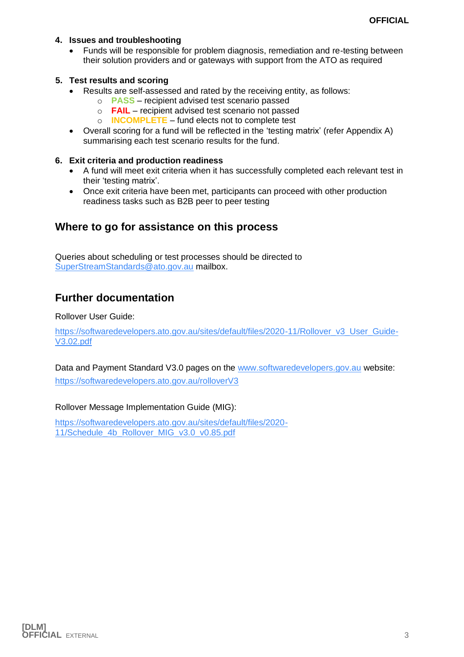#### **4. Issues and troubleshooting**

• Funds will be responsible for problem diagnosis, remediation and re-testing between their solution providers and or gateways with support from the ATO as required

#### **5. Test results and scoring**

- Results are self-assessed and rated by the receiving entity, as follows:
	- o **PASS** recipient advised test scenario passed
	- o **FAIL** recipient advised test scenario not passed
	- o **INCOMPLETE** fund elects not to complete test
- Overall scoring for a fund will be reflected in the 'testing matrix' (refer Appendix A) summarising each test scenario results for the fund.

#### **6. Exit criteria and production readiness**

- A fund will meet exit criteria when it has successfully completed each relevant test in their 'testing matrix'.
- Once exit criteria have been met, participants can proceed with other production readiness tasks such as B2B peer to peer testing

### **Where to go for assistance on this process**

Queries about scheduling or test processes should be directed to [SuperStreamStandards@ato.gov.au](mailto:SuperStreamStandards@ato.gov.au) mailbox.

## **Further documentation**

Rollover User Guide:

[https://softwaredevelopers.ato.gov.au/sites/default/files/2020-11/Rollover\\_v3\\_User\\_Guide-](https://softwaredevelopers.ato.gov.au/sites/default/files/2020-11/Rollover_v3_User_Guide-V3.02.pdf)[V3.02.pdf](https://softwaredevelopers.ato.gov.au/sites/default/files/2020-11/Rollover_v3_User_Guide-V3.02.pdf)

Data and Payment Standard V3.0 pages on the [www.softwaredevelopers.gov.au](http://www.softwaredevelopers.gov.au/) website: <https://softwaredevelopers.ato.gov.au/rolloverV3>

#### Rollover Message Implementation Guide (MIG):

[https://softwaredevelopers.ato.gov.au/sites/default/files/2020-](https://softwaredevelopers.ato.gov.au/sites/default/files/2020-11/Schedule_4b_Rollover_MIG_v3.0_v0.85.pdf) [11/Schedule\\_4b\\_Rollover\\_MIG\\_v3.0\\_v0.85.pdf](https://softwaredevelopers.ato.gov.au/sites/default/files/2020-11/Schedule_4b_Rollover_MIG_v3.0_v0.85.pdf)